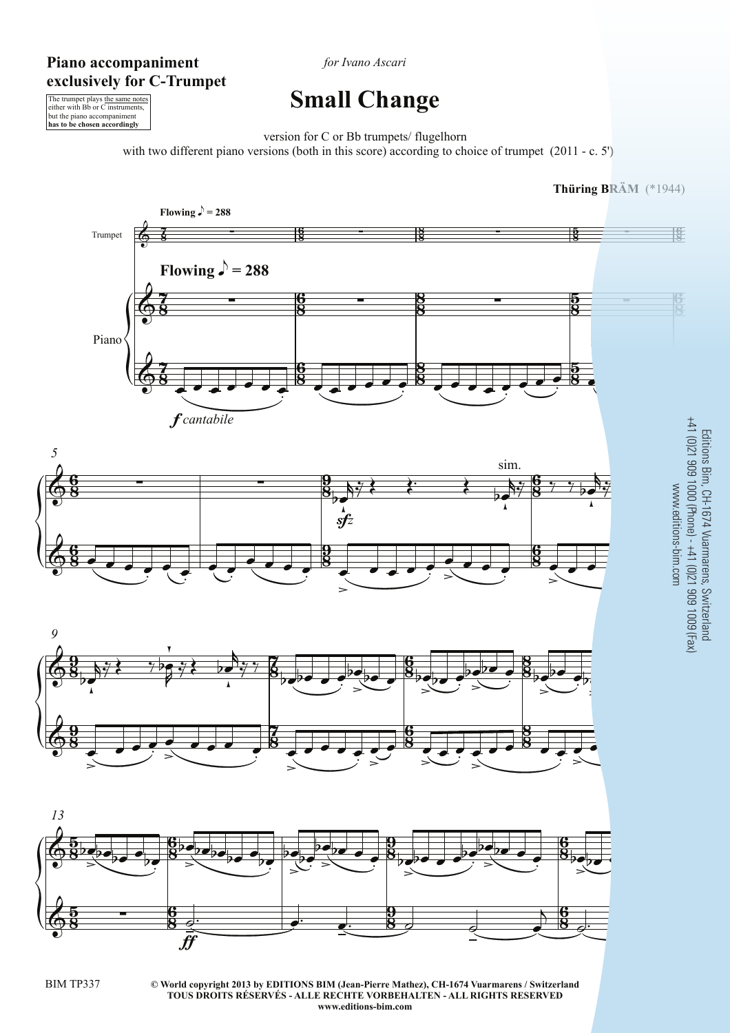## **Piano accompaniment exclusively for C-Trumpet**

*for Ivano Ascari*

## **Small Change**

The trumpet plays the same notes either with Bb or C instruments, but the piano accompaniment **has to be chosen accordingly**

version for C or Bb trumpets/ flugelhorn

with two different piano versions (both in this score) according to choice of trumpet (2011 - c. 5')



**© World copyright 2013 by EDITIONS BIM (Jean-Pierre Mathez), CH-1674 Vuarmarens / Switzerland** BIM TP337 3 **TOUS DROITS RÉSERVÉS - ALLE RECHTE VORBEHALTEN - ALL RIGHTS RESERVED www.editions-bim.com**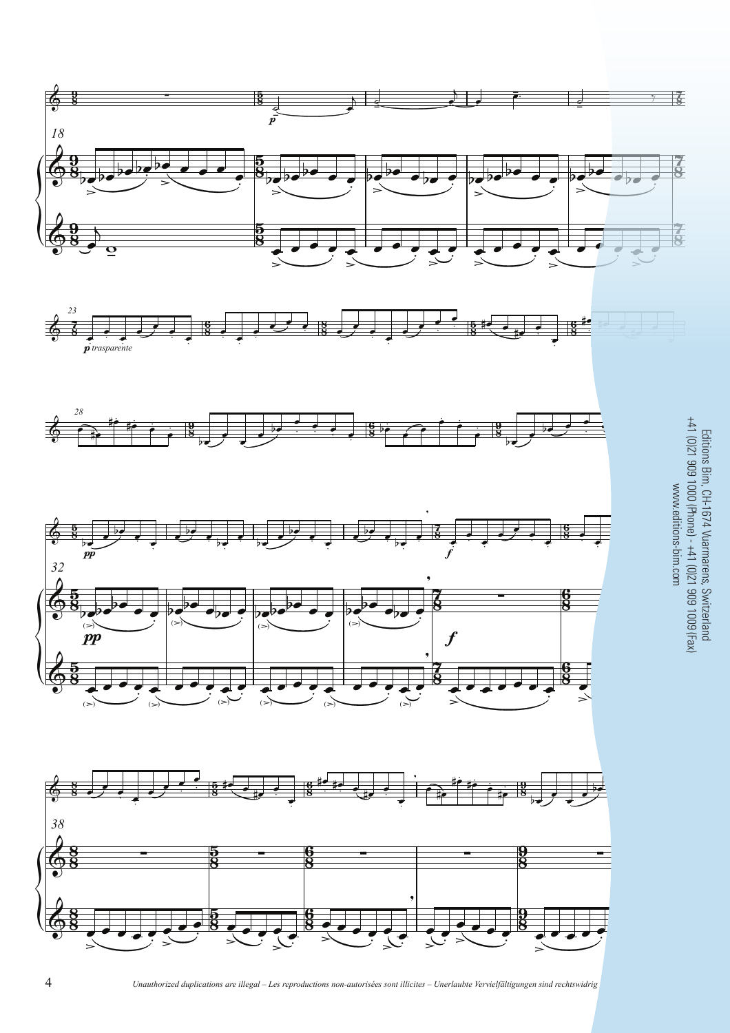

 $\overline{4}$